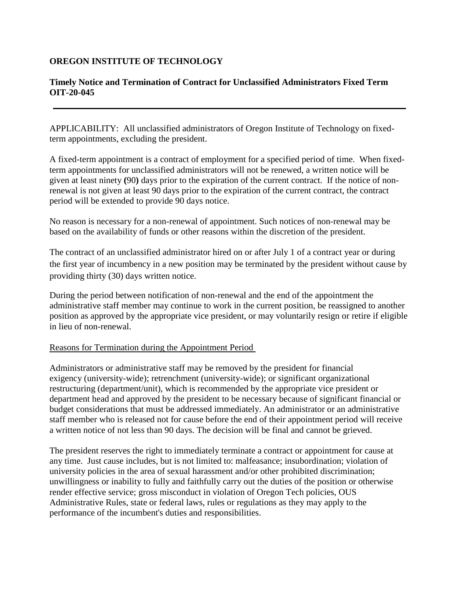## **OREGON INSTITUTE OF TECHNOLOGY**

## **Timely Notice and Termination of Contract for Unclassified Administrators Fixed Term OIT-20-045**

APPLICABILITY: All unclassified administrators of Oregon Institute of Technology on fixedterm appointments, excluding the president.

A fixed-term appointment is a contract of employment for a specified period of time. When fixedterm appointments for unclassified administrators will not be renewed, a written notice will be given at least ninety **(**90**)** days prior to the expiration of the current contract. If the notice of nonrenewal is not given at least 90 days prior to the expiration of the current contract, the contract period will be extended to provide 90 days notice.

No reason is necessary for a non-renewal of appointment. Such notices of non-renewal may be based on the availability of funds or other reasons within the discretion of the president.

The contract of an unclassified administrator hired on or after July 1 of a contract year or during the first year of incumbency in a new position may be terminated by the president without cause by providing thirty (30) days written notice.

During the period between notification of non-renewal and the end of the appointment the administrative staff member may continue to work in the current position, be reassigned to another position as approved by the appropriate vice president, or may voluntarily resign or retire if eligible in lieu of non-renewal.

## Reasons for Termination during the Appointment Period

Administrators or administrative staff may be removed by the president for financial exigency (university-wide); retrenchment (university-wide); or significant organizational restructuring (department/unit), which is recommended by the appropriate vice president or department head and approved by the president to be necessary because of significant financial or budget considerations that must be addressed immediately. An administrator or an administrative staff member who is released not for cause before the end of their appointment period will receive a written notice of not less than 90 days. The decision will be final and cannot be grieved.

The president reserves the right to immediately terminate a contract or appointment for cause at any time. Just cause includes, but is not limited to: malfeasance; insubordination; violation of university policies in the area of sexual harassment and/or other prohibited discrimination; unwillingness or inability to fully and faithfully carry out the duties of the position or otherwise render effective service; gross misconduct in violation of Oregon Tech policies, OUS Administrative Rules, state or federal laws, rules or regulations as they may apply to the performance of the incumbent's duties and responsibilities.